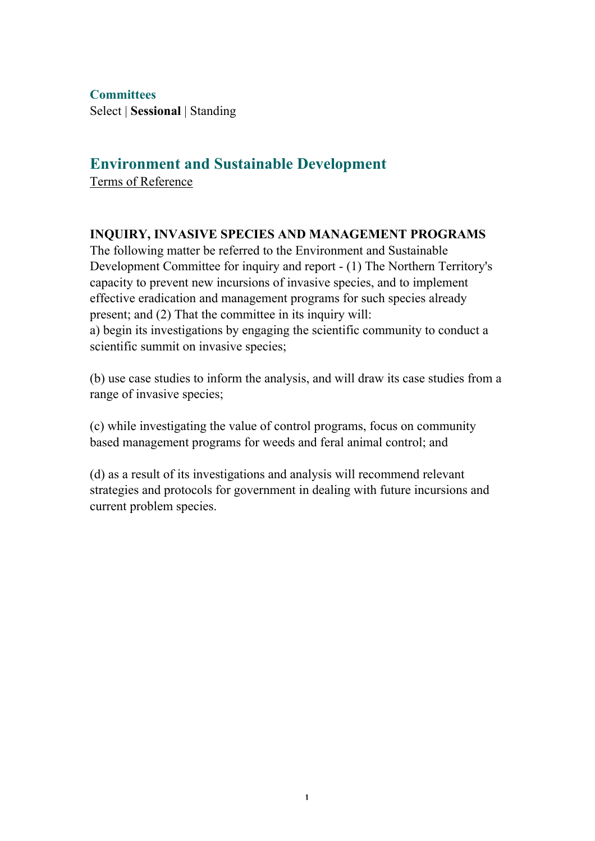**Committees** Select | **Sessional** | Standing

# **Environment and Sustainable Development**

Terms of Reference

## **INQUIRY, INVASIVE SPECIES AND MANAGEMENT PROGRAMS**

The following matter be referred to the Environment and Sustainable Development Committee for inquiry and report - (1) The Northern Territory's capacity to prevent new incursions of invasive species, and to implement effective eradication and management programs for such species already present; and (2) That the committee in its inquiry will: a) begin its investigations by engaging the scientific community to conduct a scientific summit on invasive species;

(b) use case studies to inform the analysis, and will draw its case studies from a range of invasive species;

(c) while investigating the value of control programs, focus on community based management programs for weeds and feral animal control; and

(d) as a result of its investigations and analysis will recommend relevant strategies and protocols for government in dealing with future incursions and current problem species.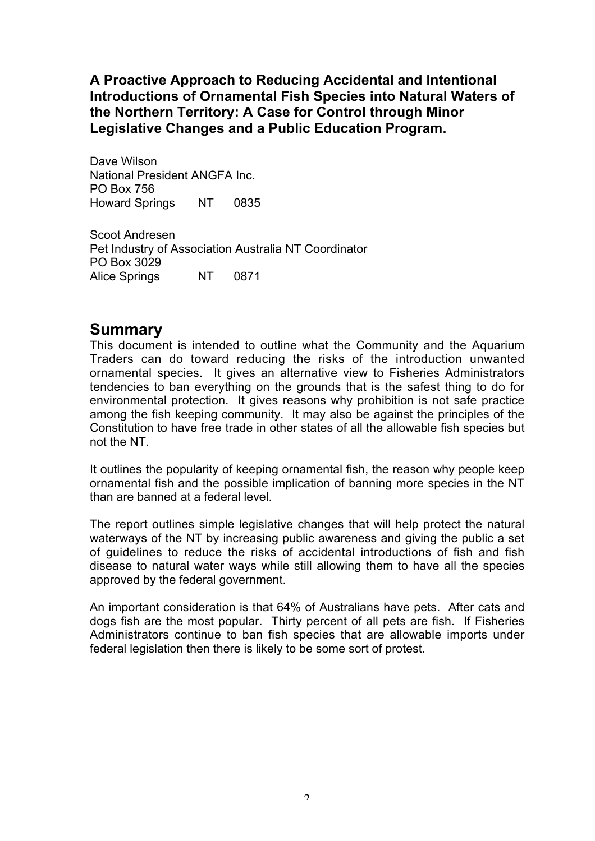**A Proactive Approach to Reducing Accidental and Intentional Introductions of Ornamental Fish Species into Natural Waters of the Northern Territory: A Case for Control through Minor Legislative Changes and a Public Education Program.**

Dave Wilson National President ANGFA Inc. PO Box 756 Howard Springs NT 0835

Scoot Andresen Pet Industry of Association Australia NT Coordinator PO Box 3029 Alice Springs NT 0871

# **Summary**

This document is intended to outline what the Community and the Aquarium Traders can do toward reducing the risks of the introduction unwanted ornamental species. It gives an alternative view to Fisheries Administrators tendencies to ban everything on the grounds that is the safest thing to do for environmental protection. It gives reasons why prohibition is not safe practice among the fish keeping community. It may also be against the principles of the Constitution to have free trade in other states of all the allowable fish species but not the NT.

It outlines the popularity of keeping ornamental fish, the reason why people keep ornamental fish and the possible implication of banning more species in the NT than are banned at a federal level.

The report outlines simple legislative changes that will help protect the natural waterways of the NT by increasing public awareness and giving the public a set of guidelines to reduce the risks of accidental introductions of fish and fish disease to natural water ways while still allowing them to have all the species approved by the federal government.

An important consideration is that 64% of Australians have pets. After cats and dogs fish are the most popular. Thirty percent of all pets are fish. If Fisheries Administrators continue to ban fish species that are allowable imports under federal legislation then there is likely to be some sort of protest.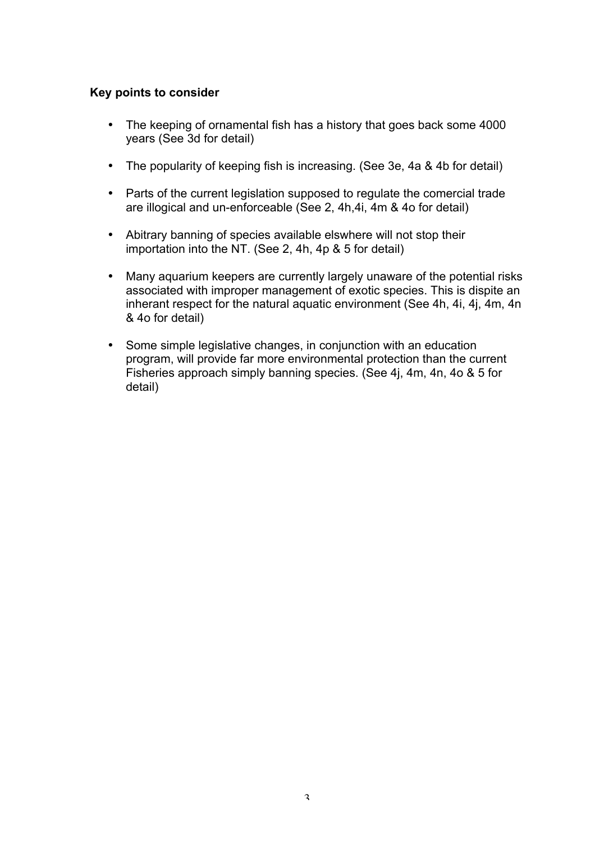#### **Key points to consider**

- The keeping of ornamental fish has a history that goes back some 4000 years (See 3d for detail)
- The popularity of keeping fish is increasing. (See 3e, 4a & 4b for detail)
- Parts of the current legislation supposed to regulate the comercial trade are illogical and un-enforceable (See 2, 4h,4i, 4m & 4o for detail)
- Abitrary banning of species available elswhere will not stop their importation into the NT. (See 2, 4h, 4p & 5 for detail)
- Many aquarium keepers are currently largely unaware of the potential risks associated with improper management of exotic species. This is dispite an inherant respect for the natural aquatic environment (See 4h, 4i, 4j, 4m, 4n & 4o for detail)
- Some simple legislative changes, in conjunction with an education program, will provide far more environmental protection than the current Fisheries approach simply banning species. (See 4j, 4m, 4n, 4o & 5 for detail)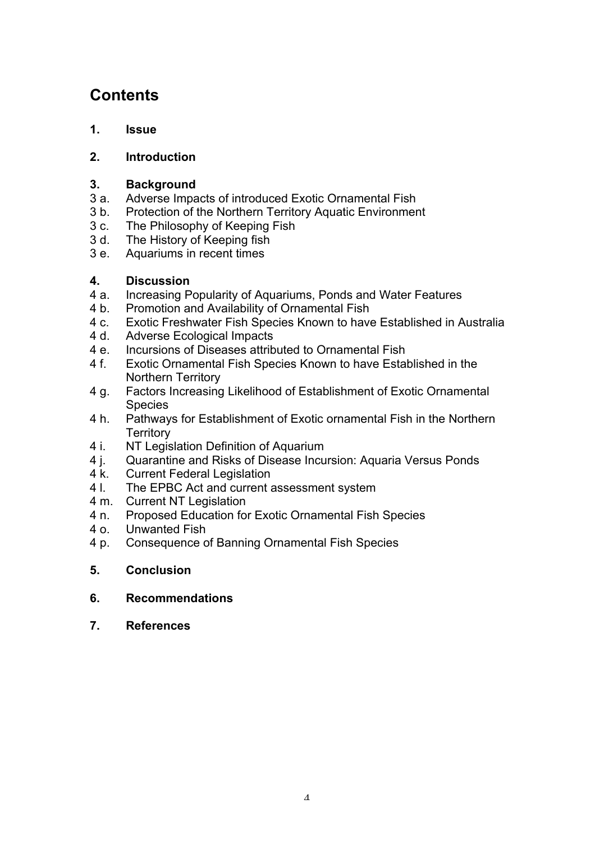# **Contents**

## **1. Issue**

## **2. Introduction**

## **3. Background**

- 3 a. Adverse Impacts of introduced Exotic Ornamental Fish
- 3 b. Protection of the Northern Territory Aquatic Environment
- 3 c. The Philosophy of Keeping Fish
- 3 d. The History of Keeping fish
- 3 e. Aquariums in recent times

## **4. Discussion**

- 4 a. Increasing Popularity of Aquariums, Ponds and Water Features
- 4 b. Promotion and Availability of Ornamental Fish
- 4 c. Exotic Freshwater Fish Species Known to have Established in Australia<br>4 d Adverse Ecological Impacts
- Adverse Ecological Impacts
- 4 e. Incursions of Diseases attributed to Ornamental Fish
- 4 f. Exotic Ornamental Fish Species Known to have Established in the Northern Territory
- 4 g. Factors Increasing Likelihood of Establishment of Exotic Ornamental Species
- 4 h. Pathways for Establishment of Exotic ornamental Fish in the Northern **Territory**
- 4 i. NT Legislation Definition of Aquarium
- 4 j. Quarantine and Risks of Disease Incursion: Aquaria Versus Ponds
- 4 k. Current Federal Legislation
- 4 l. The EPBC Act and current assessment system
- 4 m. Current NT Legislation
- 4 n. Proposed Education for Exotic Ornamental Fish Species
- 4 o. Unwanted Fish
- 4 p. Consequence of Banning Ornamental Fish Species
- **5. Conclusion**
- **6. Recommendations**
- **7. References**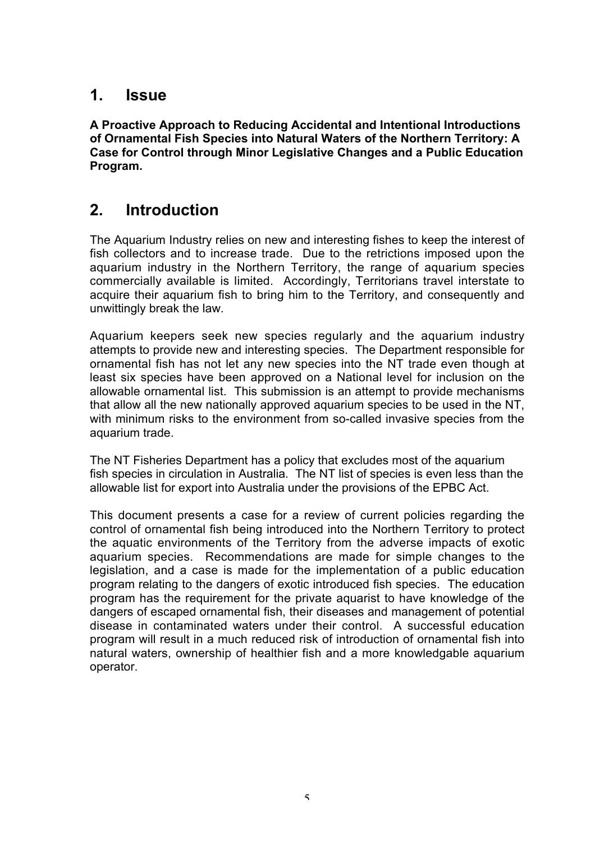# **1. Issue**

**A Proactive Approach to Reducing Accidental and Intentional Introductions of Ornamental Fish Species into Natural Waters of the Northern Territory: A Case for Control through Minor Legislative Changes and a Public Education Program.**

# **2. Introduction**

The Aquarium Industry relies on new and interesting fishes to keep the interest of fish collectors and to increase trade. Due to the retrictions imposed upon the aquarium industry in the Northern Territory, the range of aquarium species commercially available is limited. Accordingly, Territorians travel interstate to acquire their aquarium fish to bring him to the Territory, and consequently and unwittingly break the law.

Aquarium keepers seek new species regularly and the aquarium industry attempts to provide new and interesting species. The Department responsible for ornamental fish has not let any new species into the NT trade even though at least six species have been approved on a National level for inclusion on the allowable ornamental list. This submission is an attempt to provide mechanisms that allow all the new nationally approved aquarium species to be used in the NT, with minimum risks to the environment from so-called invasive species from the aquarium trade.

The NT Fisheries Department has a policy that excludes most of the aquarium fish species in circulation in Australia. The NT list of species is even less than the allowable list for export into Australia under the provisions of the EPBC Act.

This document presents a case for a review of current policies regarding the control of ornamental fish being introduced into the Northern Territory to protect the aquatic environments of the Territory from the adverse impacts of exotic aquarium species. Recommendations are made for simple changes to the legislation, and a case is made for the implementation of a public education program relating to the dangers of exotic introduced fish species. The education program has the requirement for the private aquarist to have knowledge of the dangers of escaped ornamental fish, their diseases and management of potential disease in contaminated waters under their control. A successful education program will result in a much reduced risk of introduction of ornamental fish into natural waters, ownership of healthier fish and a more knowledgable aquarium operator.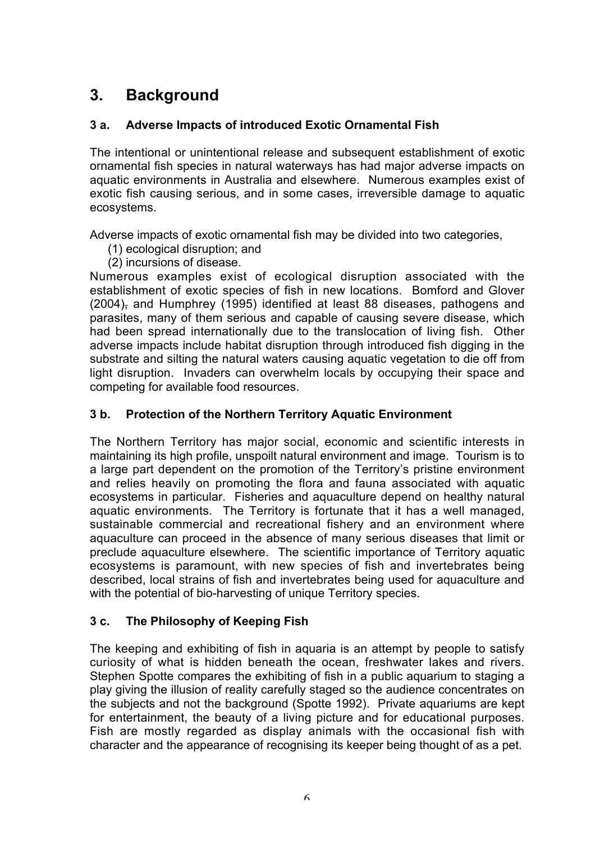# **3. Background**

## **3 a. Adverse Impacts of introduced Exotic Ornamental Fish**

The intentional or unintentional release and subsequent establishment of exotic ornamental fish species in natural waterways has had major adverse impacts on aquatic environments in Australia and elsewhere. Numerous examples exist of exotic fish causing serious, and in some cases, irreversible damage to aquatic ecosystems.

Adverse impacts of exotic ornamental fish may be divided into two categories,

- (1) ecological disruption; and
- (2) incursions of disease.

Numerous examples exist of ecological disruption associated with the establishment of exotic species of fish in new locations. Bomford and Glover (2004), and Humphrey (1995) identified at least 88 diseases, pathogens and parasites, many of them serious and capable of causing severe disease, which had been spread internationally due to the translocation of living fish. Other adverse impacts include habitat disruption through introduced fish digging in the substrate and silting the natural waters causing aquatic vegetation to die off from light disruption. Invaders can overwhelm locals by occupying their space and competing for available food resources.

#### **3 b. Protection of the Northern Territory Aquatic Environment**

The Northern Territory has major social, economic and scientific interests in maintaining its high profile, unspoilt natural environment and image. Tourism is to a large part dependent on the promotion of the Territory's pristine environment and relies heavily on promoting the flora and fauna associated with aquatic ecosystems in particular. Fisheries and aquaculture depend on healthy natural aquatic environments. The Territory is fortunate that it has a well managed, sustainable commercial and recreational fishery and an environment where aquaculture can proceed in the absence of many serious diseases that limit or preclude aquaculture elsewhere. The scientific importance of Territory aquatic ecosystems is paramount, with new species of fish and invertebrates being described, local strains of fish and invertebrates being used for aquaculture and with the potential of bio-harvesting of unique Territory species.

#### **3 c. The Philosophy of Keeping Fish**

The keeping and exhibiting of fish in aquaria is an attempt by people to satisfy curiosity of what is hidden beneath the ocean, freshwater lakes and rivers. Stephen Spotte compares the exhibiting of fish in a public aquarium to staging a play giving the illusion of reality carefully staged so the audience concentrates on the subjects and not the background (Spotte 1992). Private aquariums are kept for entertainment, the beauty of a living picture and for educational purposes. Fish are mostly regarded as display animals with the occasional fish with character and the appearance of recognising its keeper being thought of as a pet.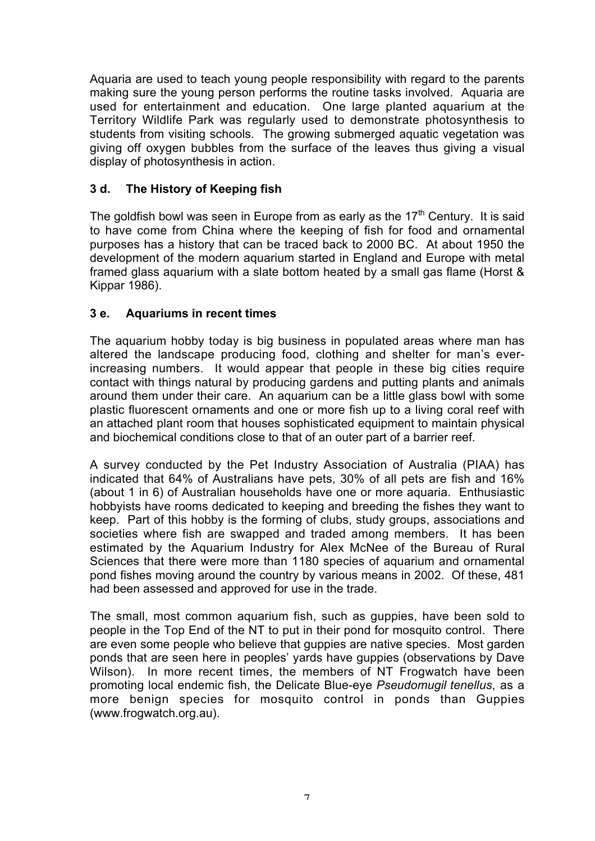Aquaria are used to teach young people responsibility with regard to the parents making sure the young person performs the routine tasks involved. Aquaria are used for entertainment and education. One large planted aquarium at the Territory Wildlife Park was regularly used to demonstrate photosynthesis to students from visiting schools. The growing submerged aquatic vegetation was giving off oxygen bubbles from the surface of the leaves thus giving a visual display of photosynthesis in action.

#### **3 d. The History of Keeping fish**

The goldfish bowl was seen in Europe from as early as the  $17<sup>th</sup>$  Century. It is said to have come from China where the keeping of fish for food and ornamental purposes has a history that can be traced back to 2000 BC. At about 1950 the development of the modern aquarium started in England and Europe with metal framed glass aquarium with a slate bottom heated by a small gas flame (Horst & Kippar 1986).

#### **3 e. Aquariums in recent times**

The aquarium hobby today is big business in populated areas where man has altered the landscape producing food, clothing and shelter for man's everincreasing numbers. It would appear that people in these big cities require contact with things natural by producing gardens and putting plants and animals around them under their care. An aquarium can be a little glass bowl with some plastic fluorescent ornaments and one or more fish up to a living coral reef with an attached plant room that houses sophisticated equipment to maintain physical and biochemical conditions close to that of an outer part of a barrier reef.

A survey conducted by the Pet Industry Association of Australia (PIAA) has indicated that 64% of Australians have pets, 30% of all pets are fish and 16% (about 1 in 6) of Australian households have one or more aquaria. Enthusiastic hobbyists have rooms dedicated to keeping and breeding the fishes they want to keep. Part of this hobby is the forming of clubs, study groups, associations and societies where fish are swapped and traded among members. It has been estimated by the Aquarium Industry for Alex McNee of the Bureau of Rural Sciences that there were more than 1180 species of aquarium and ornamental pond fishes moving around the country by various means in 2002. Of these, 481 had been assessed and approved for use in the trade.

The small, most common aquarium fish, such as guppies, have been sold to people in the Top End of the NT to put in their pond for mosquito control. There are even some people who believe that guppies are native species. Most garden ponds that are seen here in peoples' yards have guppies (observations by Dave Wilson). In more recent times, the members of NT Frogwatch have been promoting local endemic fish, the Delicate Blue-eye *Pseudomugil tenellus*, as a more benign species for mosquito control in ponds than Guppies (www.frogwatch.org.au).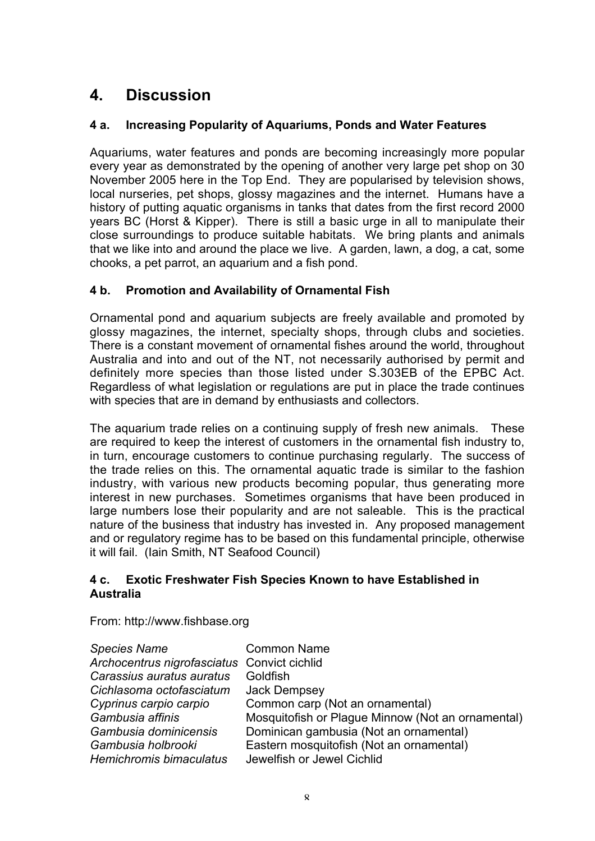# **4. Discussion**

## **4 a. Increasing Popularity of Aquariums, Ponds and Water Features**

Aquariums, water features and ponds are becoming increasingly more popular every year as demonstrated by the opening of another very large pet shop on 30 November 2005 here in the Top End. They are popularised by television shows, local nurseries, pet shops, glossy magazines and the internet. Humans have a history of putting aquatic organisms in tanks that dates from the first record 2000 years BC (Horst & Kipper). There is still a basic urge in all to manipulate their close surroundings to produce suitable habitats. We bring plants and animals that we like into and around the place we live. A garden, lawn, a dog, a cat, some chooks, a pet parrot, an aquarium and a fish pond.

## **4 b. Promotion and Availability of Ornamental Fish**

Ornamental pond and aquarium subjects are freely available and promoted by glossy magazines, the internet, specialty shops, through clubs and societies. There is a constant movement of ornamental fishes around the world, throughout Australia and into and out of the NT, not necessarily authorised by permit and definitely more species than those listed under S.303EB of the EPBC Act. Regardless of what legislation or regulations are put in place the trade continues with species that are in demand by enthusiasts and collectors.

The aquarium trade relies on a continuing supply of fresh new animals. These are required to keep the interest of customers in the ornamental fish industry to, in turn, encourage customers to continue purchasing regularly. The success of the trade relies on this. The ornamental aquatic trade is similar to the fashion industry, with various new products becoming popular, thus generating more interest in new purchases. Sometimes organisms that have been produced in large numbers lose their popularity and are not saleable. This is the practical nature of the business that industry has invested in. Any proposed management and or regulatory regime has to be based on this fundamental principle, otherwise it will fail. (Iain Smith, NT Seafood Council)

#### **4 c. Exotic Freshwater Fish Species Known to have Established in Australia**

From: http://www.fishbase.org

| <b>Species Name</b>                         | <b>Common Name</b>                                |
|---------------------------------------------|---------------------------------------------------|
| Archocentrus nigrofasciatus Convict cichlid |                                                   |
| Carassius auratus auratus                   | Goldfish                                          |
| Cichlasoma octofasciatum                    | Jack Dempsey                                      |
| Cyprinus carpio carpio                      | Common carp (Not an ornamental)                   |
| Gambusia affinis                            | Mosquitofish or Plague Minnow (Not an ornamental) |
| Gambusia dominicensis                       | Dominican gambusia (Not an ornamental)            |
| Gambusia holbrooki                          | Eastern mosquitofish (Not an ornamental)          |
| Hemichromis bimaculatus                     | Jewelfish or Jewel Cichlid                        |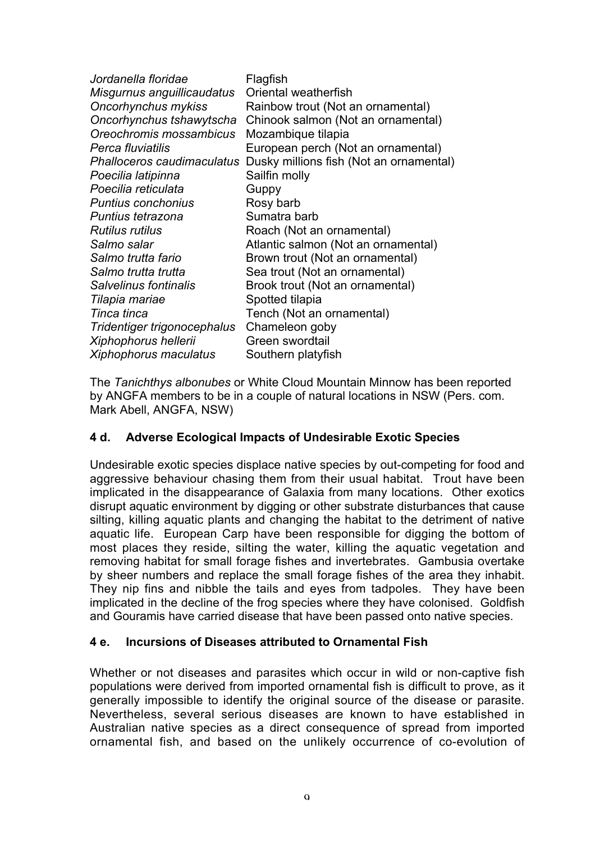| Jordanella floridae               | Flagfish                                |
|-----------------------------------|-----------------------------------------|
| Misgurnus anguillicaudatus        | Oriental weatherfish                    |
| Oncorhynchus mykiss               | Rainbow trout (Not an ornamental)       |
| Oncorhynchus tshawytscha          | Chinook salmon (Not an ornamental)      |
| Oreochromis mossambicus           | Mozambique tilapia                      |
| Perca fluviatilis                 | European perch (Not an ornamental)      |
| <b>Phalloceros caudimaculatus</b> | Dusky millions fish (Not an ornamental) |
| Poecilia latipinna                | Sailfin molly                           |
| Poecilia reticulata               | Guppy                                   |
| <b>Puntius conchonius</b>         | Rosy barb                               |
| Puntius tetrazona                 | Sumatra barb                            |
| <b>Rutilus rutilus</b>            | Roach (Not an ornamental)               |
| Salmo salar                       | Atlantic salmon (Not an ornamental)     |
| Salmo trutta fario                | Brown trout (Not an ornamental)         |
| Salmo trutta trutta               | Sea trout (Not an ornamental)           |
| Salvelinus fontinalis             | Brook trout (Not an ornamental)         |
| Tilapia mariae                    | Spotted tilapia                         |
| Tinca tinca                       | Tench (Not an ornamental)               |
| Tridentiger trigonocephalus       | Chameleon goby                          |
| Xiphophorus hellerii              | Green swordtail                         |
| Xiphophorus maculatus             | Southern platyfish                      |

The *Tanichthys albonubes* or White Cloud Mountain Minnow has been reported by ANGFA members to be in a couple of natural locations in NSW (Pers. com. Mark Abell, ANGFA, NSW)

#### **4 d. Adverse Ecological Impacts of Undesirable Exotic Species**

Undesirable exotic species displace native species by out-competing for food and aggressive behaviour chasing them from their usual habitat. Trout have been implicated in the disappearance of Galaxia from many locations. Other exotics disrupt aquatic environment by digging or other substrate disturbances that cause silting, killing aquatic plants and changing the habitat to the detriment of native aquatic life. European Carp have been responsible for digging the bottom of most places they reside, silting the water, killing the aquatic vegetation and removing habitat for small forage fishes and invertebrates. Gambusia overtake by sheer numbers and replace the small forage fishes of the area they inhabit. They nip fins and nibble the tails and eyes from tadpoles. They have been implicated in the decline of the frog species where they have colonised. Goldfish and Gouramis have carried disease that have been passed onto native species.

#### **4 e. Incursions of Diseases attributed to Ornamental Fish**

Whether or not diseases and parasites which occur in wild or non-captive fish populations were derived from imported ornamental fish is difficult to prove, as it generally impossible to identify the original source of the disease or parasite. Nevertheless, several serious diseases are known to have established in Australian native species as a direct consequence of spread from imported ornamental fish, and based on the unlikely occurrence of co-evolution of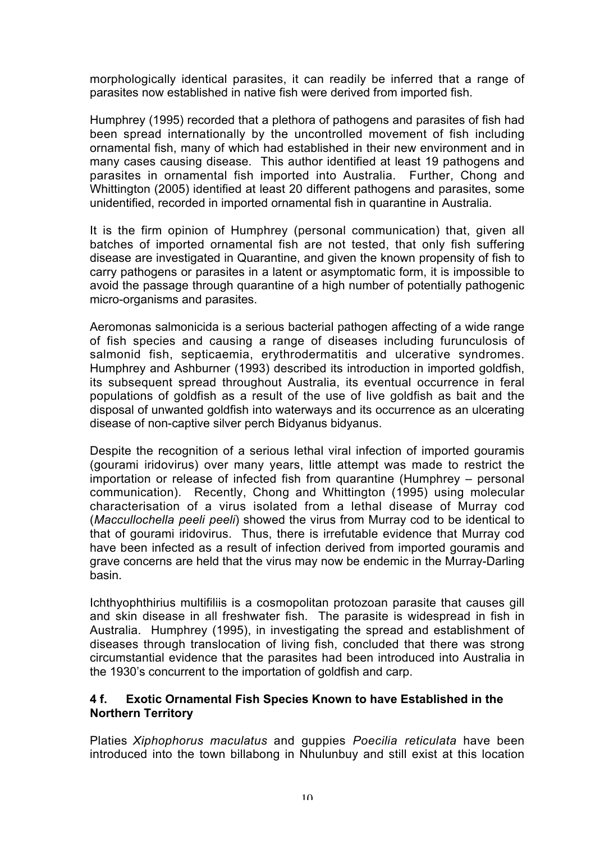morphologically identical parasites, it can readily be inferred that a range of parasites now established in native fish were derived from imported fish.

Humphrey (1995) recorded that a plethora of pathogens and parasites of fish had been spread internationally by the uncontrolled movement of fish including ornamental fish, many of which had established in their new environment and in many cases causing disease. This author identified at least 19 pathogens and parasites in ornamental fish imported into Australia. Further, Chong and Whittington (2005) identified at least 20 different pathogens and parasites, some unidentified, recorded in imported ornamental fish in quarantine in Australia.

It is the firm opinion of Humphrey (personal communication) that, given all batches of imported ornamental fish are not tested, that only fish suffering disease are investigated in Quarantine, and given the known propensity of fish to carry pathogens or parasites in a latent or asymptomatic form, it is impossible to avoid the passage through quarantine of a high number of potentially pathogenic micro-organisms and parasites.

Aeromonas salmonicida is a serious bacterial pathogen affecting of a wide range of fish species and causing a range of diseases including furunculosis of salmonid fish, septicaemia, erythrodermatitis and ulcerative syndromes. Humphrey and Ashburner (1993) described its introduction in imported goldfish, its subsequent spread throughout Australia, its eventual occurrence in feral populations of goldfish as a result of the use of live goldfish as bait and the disposal of unwanted goldfish into waterways and its occurrence as an ulcerating disease of non-captive silver perch Bidyanus bidyanus.

Despite the recognition of a serious lethal viral infection of imported gouramis (gourami iridovirus) over many years, little attempt was made to restrict the importation or release of infected fish from quarantine (Humphrey – personal communication). Recently, Chong and Whittington (1995) using molecular characterisation of a virus isolated from a lethal disease of Murray cod (*Maccullochella peeli peeli*) showed the virus from Murray cod to be identical to that of gourami iridovirus. Thus, there is irrefutable evidence that Murray cod have been infected as a result of infection derived from imported gouramis and grave concerns are held that the virus may now be endemic in the Murray-Darling basin.

Ichthyophthirius multifiliis is a cosmopolitan protozoan parasite that causes gill and skin disease in all freshwater fish. The parasite is widespread in fish in Australia. Humphrey (1995), in investigating the spread and establishment of diseases through translocation of living fish, concluded that there was strong circumstantial evidence that the parasites had been introduced into Australia in the 1930's concurrent to the importation of goldfish and carp.

#### **4 f. Exotic Ornamental Fish Species Known to have Established in the Northern Territory**

Platies *Xiphophorus maculatus* and guppies *Poecilia reticulata* have been introduced into the town billabong in Nhulunbuy and still exist at this location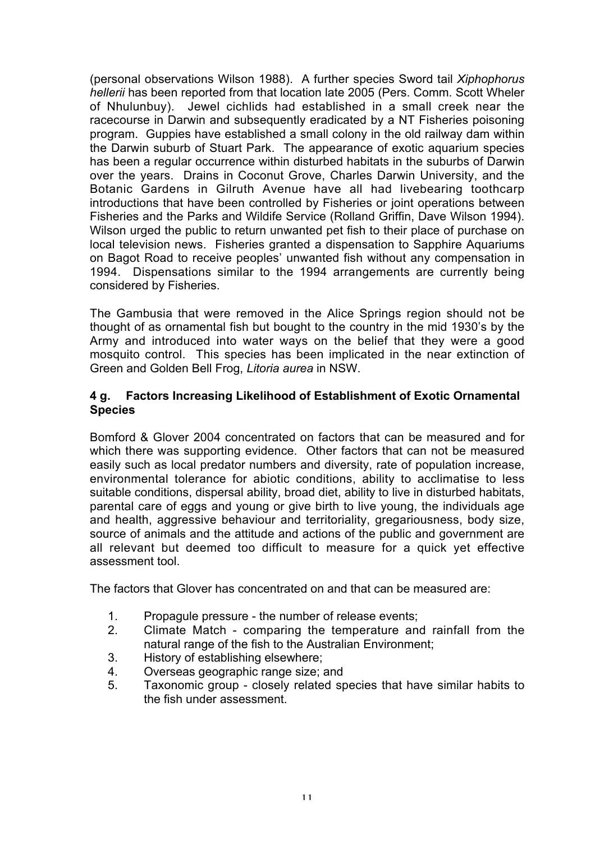(personal observations Wilson 1988). A further species Sword tail *Xiphophorus hellerii* has been reported from that location late 2005 (Pers. Comm. Scott Wheler of Nhulunbuy). Jewel cichlids had established in a small creek near the racecourse in Darwin and subsequently eradicated by a NT Fisheries poisoning program. Guppies have established a small colony in the old railway dam within the Darwin suburb of Stuart Park. The appearance of exotic aquarium species has been a regular occurrence within disturbed habitats in the suburbs of Darwin over the years. Drains in Coconut Grove, Charles Darwin University, and the Botanic Gardens in Gilruth Avenue have all had livebearing toothcarp introductions that have been controlled by Fisheries or joint operations between Fisheries and the Parks and Wildife Service (Rolland Griffin, Dave Wilson 1994). Wilson urged the public to return unwanted pet fish to their place of purchase on local television news. Fisheries granted a dispensation to Sapphire Aquariums on Bagot Road to receive peoples' unwanted fish without any compensation in 1994. Dispensations similar to the 1994 arrangements are currently being considered by Fisheries.

The Gambusia that were removed in the Alice Springs region should not be thought of as ornamental fish but bought to the country in the mid 1930's by the Army and introduced into water ways on the belief that they were a good mosquito control. This species has been implicated in the near extinction of Green and Golden Bell Frog, *Litoria aurea* in NSW.

#### **4 g. Factors Increasing Likelihood of Establishment of Exotic Ornamental Species**

Bomford & Glover 2004 concentrated on factors that can be measured and for which there was supporting evidence. Other factors that can not be measured easily such as local predator numbers and diversity, rate of population increase, environmental tolerance for abiotic conditions, ability to acclimatise to less suitable conditions, dispersal ability, broad diet, ability to live in disturbed habitats, parental care of eggs and young or give birth to live young, the individuals age and health, aggressive behaviour and territoriality, gregariousness, body size, source of animals and the attitude and actions of the public and government are all relevant but deemed too difficult to measure for a quick yet effective assessment tool.

The factors that Glover has concentrated on and that can be measured are:

- 1. Propagule pressure the number of release events;
- 2. Climate Match comparing the temperature and rainfall from the natural range of the fish to the Australian Environment;
- 3. History of establishing elsewhere;
- 4. Overseas geographic range size; and
- 5. Taxonomic group closely related species that have similar habits to the fish under assessment.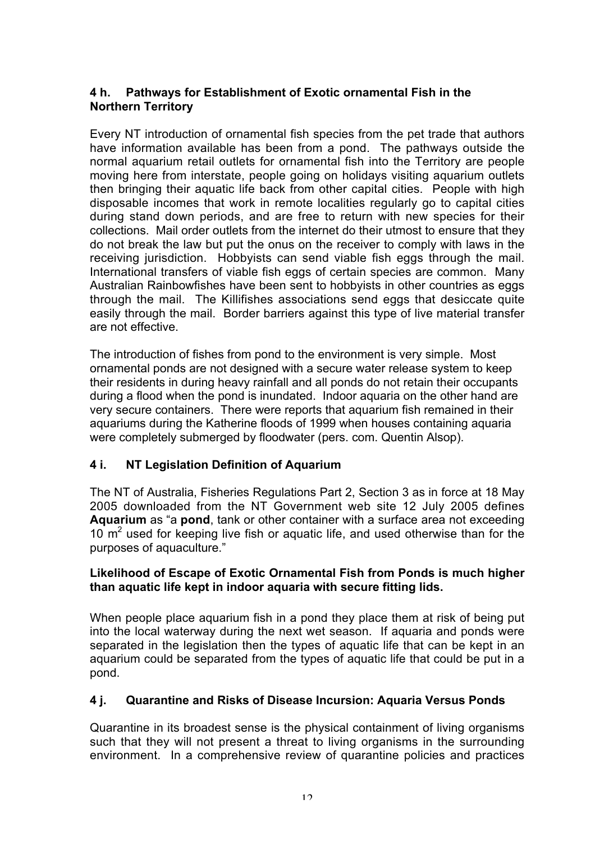#### **4 h. Pathways for Establishment of Exotic ornamental Fish in the Northern Territory**

Every NT introduction of ornamental fish species from the pet trade that authors have information available has been from a pond. The pathways outside the normal aquarium retail outlets for ornamental fish into the Territory are people moving here from interstate, people going on holidays visiting aquarium outlets then bringing their aquatic life back from other capital cities. People with high disposable incomes that work in remote localities regularly go to capital cities during stand down periods, and are free to return with new species for their collections. Mail order outlets from the internet do their utmost to ensure that they do not break the law but put the onus on the receiver to comply with laws in the receiving jurisdiction. Hobbyists can send viable fish eggs through the mail. International transfers of viable fish eggs of certain species are common. Many Australian Rainbowfishes have been sent to hobbyists in other countries as eggs through the mail. The Killifishes associations send eggs that desiccate quite easily through the mail. Border barriers against this type of live material transfer are not effective.

The introduction of fishes from pond to the environment is very simple. Most ornamental ponds are not designed with a secure water release system to keep their residents in during heavy rainfall and all ponds do not retain their occupants during a flood when the pond is inundated. Indoor aquaria on the other hand are very secure containers. There were reports that aquarium fish remained in their aquariums during the Katherine floods of 1999 when houses containing aquaria were completely submerged by floodwater (pers. com. Quentin Alsop).

#### **4 i. NT Legislation Definition of Aquarium**

The NT of Australia, Fisheries Regulations Part 2, Section 3 as in force at 18 May 2005 downloaded from the NT Government web site 12 July 2005 defines **Aquarium** as "a **pond**, tank or other container with a surface area not exceeding 10  $\mathrm{m}^2$  used for keeping live fish or aquatic life, and used otherwise than for the purposes of aquaculture."

#### **Likelihood of Escape of Exotic Ornamental Fish from Ponds is much higher than aquatic life kept in indoor aquaria with secure fitting lids.**

When people place aquarium fish in a pond they place them at risk of being put into the local waterway during the next wet season. If aquaria and ponds were separated in the legislation then the types of aquatic life that can be kept in an aquarium could be separated from the types of aquatic life that could be put in a pond.

#### **4 j. Quarantine and Risks of Disease Incursion: Aquaria Versus Ponds**

Quarantine in its broadest sense is the physical containment of living organisms such that they will not present a threat to living organisms in the surrounding environment. In a comprehensive review of quarantine policies and practices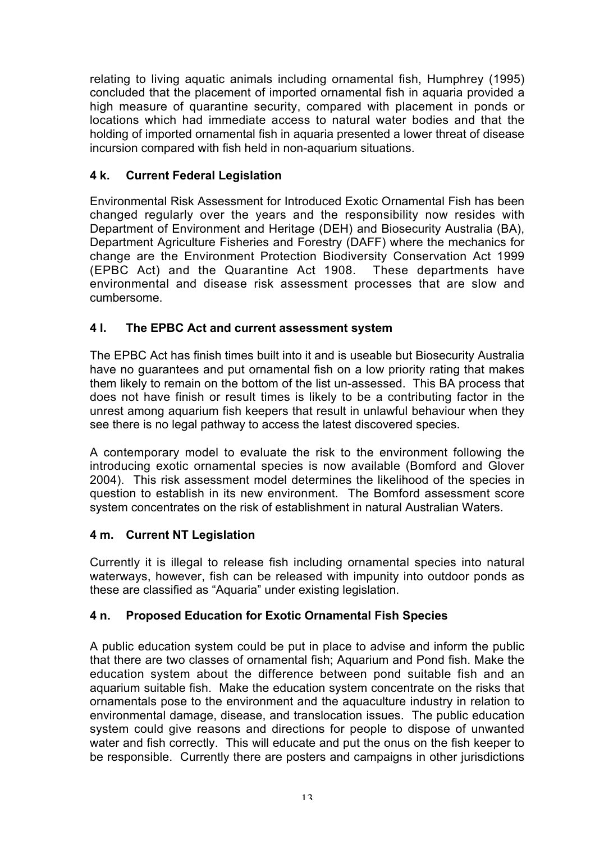relating to living aquatic animals including ornamental fish, Humphrey (1995) concluded that the placement of imported ornamental fish in aquaria provided a high measure of quarantine security, compared with placement in ponds or locations which had immediate access to natural water bodies and that the holding of imported ornamental fish in aquaria presented a lower threat of disease incursion compared with fish held in non-aquarium situations.

## **4 k. Current Federal Legislation**

Environmental Risk Assessment for Introduced Exotic Ornamental Fish has been changed regularly over the years and the responsibility now resides with Department of Environment and Heritage (DEH) and Biosecurity Australia (BA), Department Agriculture Fisheries and Forestry (DAFF) where the mechanics for change are the Environment Protection Biodiversity Conservation Act 1999 (EPBC Act) and the Quarantine Act 1908. These departments have environmental and disease risk assessment processes that are slow and cumbersome.

## **4 l. The EPBC Act and current assessment system**

The EPBC Act has finish times built into it and is useable but Biosecurity Australia have no guarantees and put ornamental fish on a low priority rating that makes them likely to remain on the bottom of the list un-assessed. This BA process that does not have finish or result times is likely to be a contributing factor in the unrest among aquarium fish keepers that result in unlawful behaviour when they see there is no legal pathway to access the latest discovered species.

A contemporary model to evaluate the risk to the environment following the introducing exotic ornamental species is now available (Bomford and Glover 2004). This risk assessment model determines the likelihood of the species in question to establish in its new environment. The Bomford assessment score system concentrates on the risk of establishment in natural Australian Waters.

#### **4 m. Current NT Legislation**

Currently it is illegal to release fish including ornamental species into natural waterways, however, fish can be released with impunity into outdoor ponds as these are classified as "Aquaria" under existing legislation.

#### **4 n. Proposed Education for Exotic Ornamental Fish Species**

A public education system could be put in place to advise and inform the public that there are two classes of ornamental fish; Aquarium and Pond fish. Make the education system about the difference between pond suitable fish and an aquarium suitable fish. Make the education system concentrate on the risks that ornamentals pose to the environment and the aquaculture industry in relation to environmental damage, disease, and translocation issues. The public education system could give reasons and directions for people to dispose of unwanted water and fish correctly. This will educate and put the onus on the fish keeper to be responsible. Currently there are posters and campaigns in other jurisdictions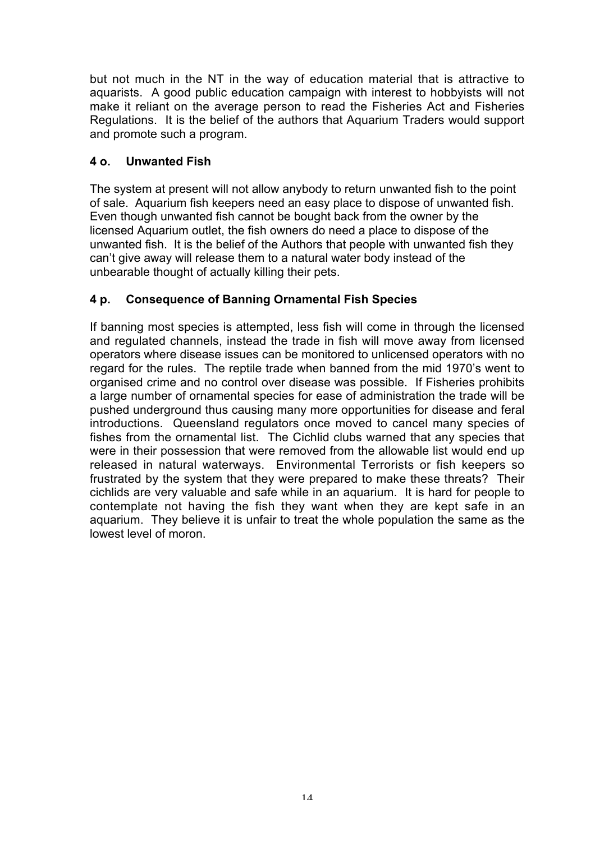but not much in the NT in the way of education material that is attractive to aquarists. A good public education campaign with interest to hobbyists will not make it reliant on the average person to read the Fisheries Act and Fisheries Regulations. It is the belief of the authors that Aquarium Traders would support and promote such a program.

#### **4 o. Unwanted Fish**

The system at present will not allow anybody to return unwanted fish to the point of sale. Aquarium fish keepers need an easy place to dispose of unwanted fish. Even though unwanted fish cannot be bought back from the owner by the licensed Aquarium outlet, the fish owners do need a place to dispose of the unwanted fish. It is the belief of the Authors that people with unwanted fish they can't give away will release them to a natural water body instead of the unbearable thought of actually killing their pets.

## **4 p. Consequence of Banning Ornamental Fish Species**

If banning most species is attempted, less fish will come in through the licensed and regulated channels, instead the trade in fish will move away from licensed operators where disease issues can be monitored to unlicensed operators with no regard for the rules. The reptile trade when banned from the mid 1970's went to organised crime and no control over disease was possible. If Fisheries prohibits a large number of ornamental species for ease of administration the trade will be pushed underground thus causing many more opportunities for disease and feral introductions. Queensland regulators once moved to cancel many species of fishes from the ornamental list. The Cichlid clubs warned that any species that were in their possession that were removed from the allowable list would end up released in natural waterways. Environmental Terrorists or fish keepers so frustrated by the system that they were prepared to make these threats? Their cichlids are very valuable and safe while in an aquarium. It is hard for people to contemplate not having the fish they want when they are kept safe in an aquarium. They believe it is unfair to treat the whole population the same as the lowest level of moron.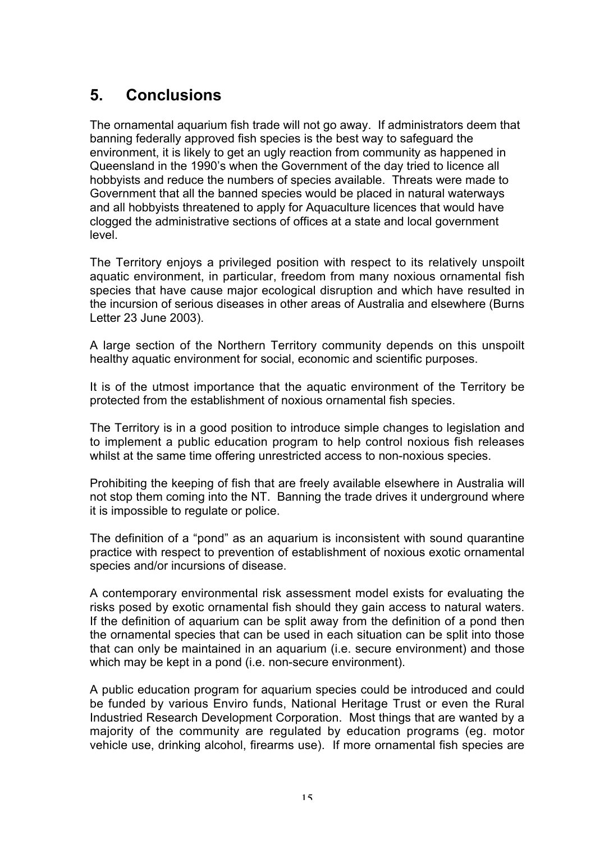# **5. Conclusions**

The ornamental aquarium fish trade will not go away. If administrators deem that banning federally approved fish species is the best way to safeguard the environment, it is likely to get an ugly reaction from community as happened in Queensland in the 1990's when the Government of the day tried to licence all hobbyists and reduce the numbers of species available. Threats were made to Government that all the banned species would be placed in natural waterways and all hobbyists threatened to apply for Aquaculture licences that would have clogged the administrative sections of offices at a state and local government level.

The Territory enjoys a privileged position with respect to its relatively unspoilt aquatic environment, in particular, freedom from many noxious ornamental fish species that have cause major ecological disruption and which have resulted in the incursion of serious diseases in other areas of Australia and elsewhere (Burns Letter 23 June 2003).

A large section of the Northern Territory community depends on this unspoilt healthy aquatic environment for social, economic and scientific purposes.

It is of the utmost importance that the aquatic environment of the Territory be protected from the establishment of noxious ornamental fish species.

The Territory is in a good position to introduce simple changes to legislation and to implement a public education program to help control noxious fish releases whilst at the same time offering unrestricted access to non-noxious species.

Prohibiting the keeping of fish that are freely available elsewhere in Australia will not stop them coming into the NT. Banning the trade drives it underground where it is impossible to regulate or police.

The definition of a "pond" as an aquarium is inconsistent with sound quarantine practice with respect to prevention of establishment of noxious exotic ornamental species and/or incursions of disease.

A contemporary environmental risk assessment model exists for evaluating the risks posed by exotic ornamental fish should they gain access to natural waters. If the definition of aquarium can be split away from the definition of a pond then the ornamental species that can be used in each situation can be split into those that can only be maintained in an aquarium (i.e. secure environment) and those which may be kept in a pond (i.e. non-secure environment).

A public education program for aquarium species could be introduced and could be funded by various Enviro funds, National Heritage Trust or even the Rural Industried Research Development Corporation. Most things that are wanted by a majority of the community are regulated by education programs (eg. motor vehicle use, drinking alcohol, firearms use). If more ornamental fish species are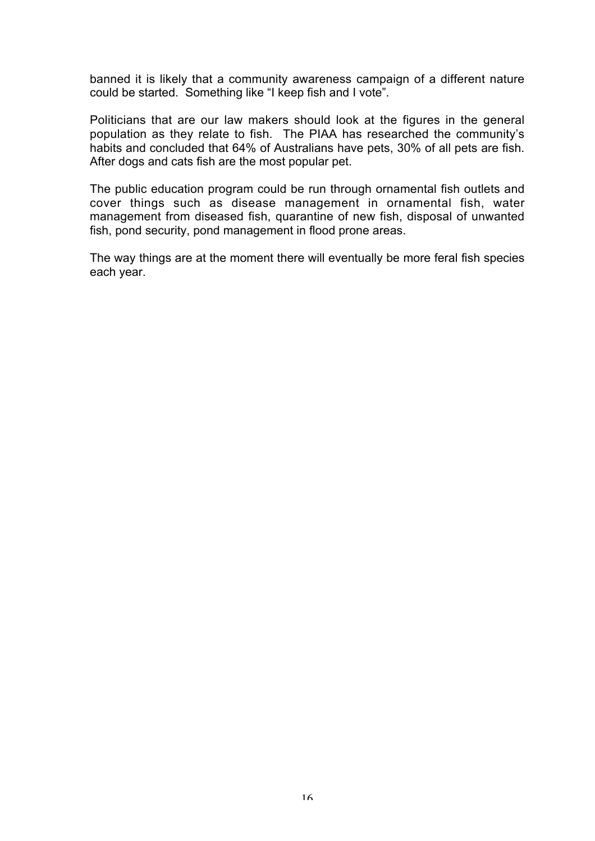banned it is likely that a community awareness campaign of a different nature could be started. Something like "I keep fish and I vote".

Politicians that are our law makers should look at the figures in the general population as they relate to fish. The PIAA has researched the community's habits and concluded that 64% of Australians have pets, 30% of all pets are fish. After dogs and cats fish are the most popular pet.

The public education program could be run through ornamental fish outlets and cover things such as disease management in ornamental fish, water management from diseased fish, quarantine of new fish, disposal of unwanted fish, pond security, pond management in flood prone areas.

The way things are at the moment there will eventually be more feral fish species each year.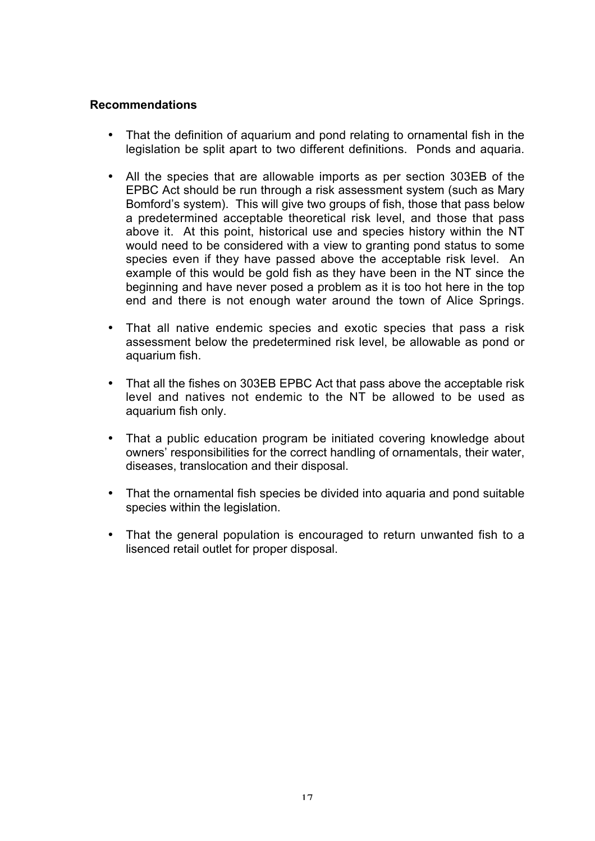#### **Recommendations**

- That the definition of aquarium and pond relating to ornamental fish in the legislation be split apart to two different definitions. Ponds and aquaria.
- All the species that are allowable imports as per section 303EB of the EPBC Act should be run through a risk assessment system (such as Mary Bomford's system). This will give two groups of fish, those that pass below a predetermined acceptable theoretical risk level, and those that pass above it. At this point, historical use and species history within the NT would need to be considered with a view to granting pond status to some species even if they have passed above the acceptable risk level. An example of this would be gold fish as they have been in the NT since the beginning and have never posed a problem as it is too hot here in the top end and there is not enough water around the town of Alice Springs.
- That all native endemic species and exotic species that pass a risk assessment below the predetermined risk level, be allowable as pond or aquarium fish.
- That all the fishes on 303EB EPBC Act that pass above the acceptable risk level and natives not endemic to the NT be allowed to be used as aquarium fish only.
- That a public education program be initiated covering knowledge about owners' responsibilities for the correct handling of ornamentals, their water, diseases, translocation and their disposal.
- That the ornamental fish species be divided into aquaria and pond suitable species within the legislation.
- That the general population is encouraged to return unwanted fish to a lisenced retail outlet for proper disposal.